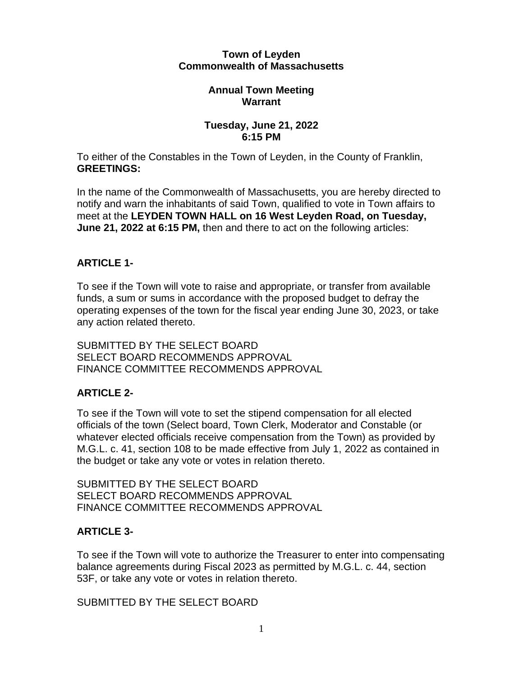#### **Town of Leyden Commonwealth of Massachusetts**

#### **Annual Town Meeting Warrant**

#### **Tuesday, June 21, 2022 6:15 PM**

To either of the Constables in the Town of Leyden, in the County of Franklin, **GREETINGS:**

In the name of the Commonwealth of Massachusetts, you are hereby directed to notify and warn the inhabitants of said Town, qualified to vote in Town affairs to meet at the **LEYDEN TOWN HALL on 16 West Leyden Road, on Tuesday, June 21, 2022 at 6:15 PM,** then and there to act on the following articles:

# **ARTICLE 1-**

To see if the Town will vote to raise and appropriate, or transfer from available funds, a sum or sums in accordance with the proposed budget to defray the operating expenses of the town for the fiscal year ending June 30, 2023, or take any action related thereto.

SUBMITTED BY THE SELECT BOARD SELECT BOARD RECOMMENDS APPROVAL FINANCE COMMITTEE RECOMMENDS APPROVAL

# **ARTICLE 2-**

To see if the Town will vote to set the stipend compensation for all elected officials of the town (Select board, Town Clerk, Moderator and Constable (or whatever elected officials receive compensation from the Town) as provided by M.G.L. c. 41, section 108 to be made effective from July 1, 2022 as contained in the budget or take any vote or votes in relation thereto.

SUBMITTED BY THE SELECT BOARD SELECT BOARD RECOMMENDS APPROVAL FINANCE COMMITTEE RECOMMENDS APPROVAL

# **ARTICLE 3-**

To see if the Town will vote to authorize the Treasurer to enter into compensating balance agreements during Fiscal 2023 as permitted by M.G.L. c. 44, section 53F, or take any vote or votes in relation thereto.

SUBMITTED BY THE SELECT BOARD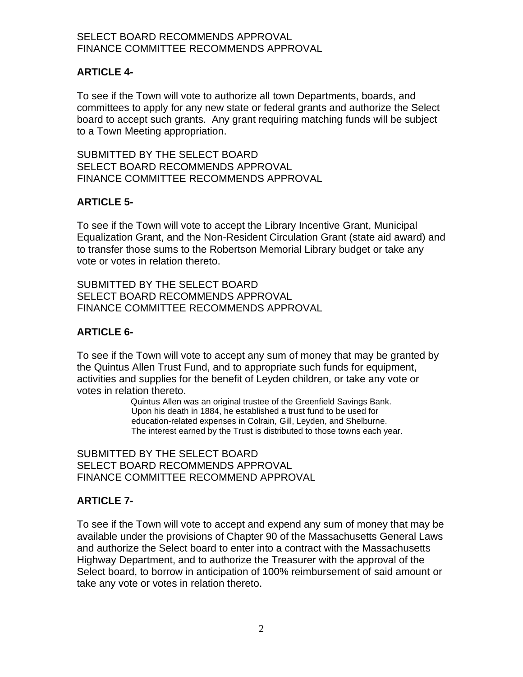### SELECT BOARD RECOMMENDS APPROVAL FINANCE COMMITTEE RECOMMENDS APPROVAL

### **ARTICLE 4-**

To see if the Town will vote to authorize all town Departments, boards, and committees to apply for any new state or federal grants and authorize the Select board to accept such grants. Any grant requiring matching funds will be subject to a Town Meeting appropriation.

SUBMITTED BY THE SELECT BOARD SELECT BOARD RECOMMENDS APPROVAL FINANCE COMMITTEE RECOMMENDS APPROVAL

### **ARTICLE 5-**

To see if the Town will vote to accept the Library Incentive Grant, Municipal Equalization Grant, and the Non-Resident Circulation Grant (state aid award) and to transfer those sums to the Robertson Memorial Library budget or take any vote or votes in relation thereto.

SUBMITTED BY THE SELECT BOARD SELECT BOARD RECOMMENDS APPROVAL FINANCE COMMITTEE RECOMMENDS APPROVAL

### **ARTICLE 6-**

To see if the Town will vote to accept any sum of money that may be granted by the Quintus Allen Trust Fund, and to appropriate such funds for equipment, activities and supplies for the benefit of Leyden children, or take any vote or votes in relation thereto.

> Quintus Allen was an original trustee of the Greenfield Savings Bank. Upon his death in 1884, he established a trust fund to be used for education-related expenses in Colrain, Gill, Leyden, and Shelburne. The interest earned by the Trust is distributed to those towns each year.

SUBMITTED BY THE SELECT BOARD SELECT BOARD RECOMMENDS APPROVAL FINANCE COMMITTEE RECOMMEND APPROVAL

# **ARTICLE 7-**

To see if the Town will vote to accept and expend any sum of money that may be available under the provisions of Chapter 90 of the Massachusetts General Laws and authorize the Select board to enter into a contract with the Massachusetts Highway Department, and to authorize the Treasurer with the approval of the Select board, to borrow in anticipation of 100% reimbursement of said amount or take any vote or votes in relation thereto.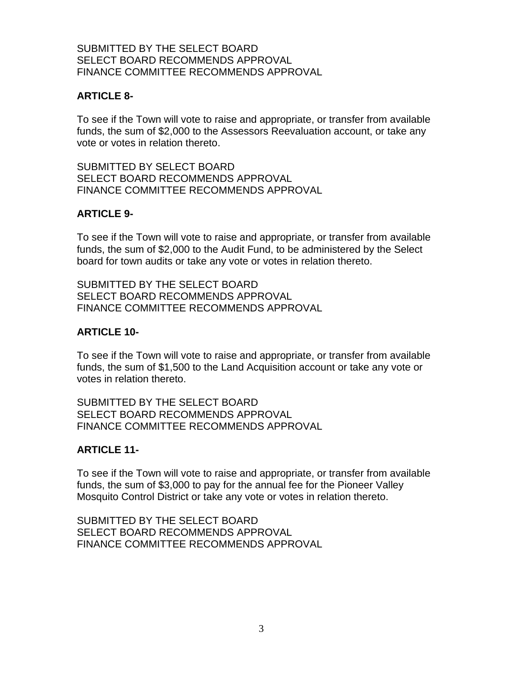### SUBMITTED BY THE SELECT BOARD SELECT BOARD RECOMMENDS APPROVAL FINANCE COMMITTEE RECOMMENDS APPROVAL

### **ARTICLE 8-**

To see if the Town will vote to raise and appropriate, or transfer from available funds, the sum of \$2,000 to the Assessors Reevaluation account, or take any vote or votes in relation thereto.

SUBMITTED BY SELECT BOARD SELECT BOARD RECOMMENDS APPROVAL FINANCE COMMITTEE RECOMMENDS APPROVAL

### **ARTICLE 9-**

To see if the Town will vote to raise and appropriate, or transfer from available funds, the sum of \$2,000 to the Audit Fund, to be administered by the Select board for town audits or take any vote or votes in relation thereto.

SUBMITTED BY THE SELECT BOARD SELECT BOARD RECOMMENDS APPROVAL FINANCE COMMITTEE RECOMMENDS APPROVAL

### **ARTICLE 10-**

To see if the Town will vote to raise and appropriate, or transfer from available funds, the sum of \$1,500 to the Land Acquisition account or take any vote or votes in relation thereto.

SUBMITTED BY THE SELECT BOARD SELECT BOARD RECOMMENDS APPROVAL FINANCE COMMITTEE RECOMMENDS APPROVAL

### **ARTICLE 11-**

To see if the Town will vote to raise and appropriate, or transfer from available funds, the sum of \$3,000 to pay for the annual fee for the Pioneer Valley Mosquito Control District or take any vote or votes in relation thereto.

SUBMITTED BY THE SELECT BOARD SELECT BOARD RECOMMENDS APPROVAL FINANCE COMMITTEE RECOMMENDS APPROVAL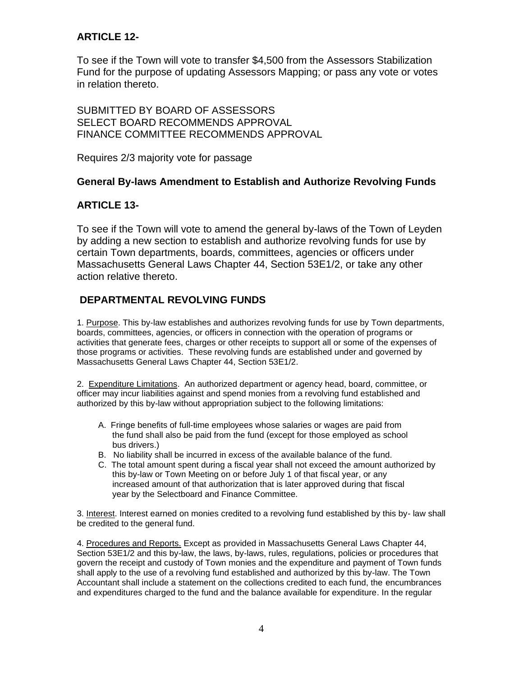# **ARTICLE 12-**

To see if the Town will vote to transfer \$4,500 from the Assessors Stabilization Fund for the purpose of updating Assessors Mapping; or pass any vote or votes in relation thereto.

SUBMITTED BY BOARD OF ASSESSORS SELECT BOARD RECOMMENDS APPROVAL FINANCE COMMITTEE RECOMMENDS APPROVAL

Requires 2/3 majority vote for passage

### **General By-laws Amendment to Establish and Authorize Revolving Funds**

# **ARTICLE 13-**

To see if the Town will vote to amend the general by-laws of the Town of Leyden by adding a new section to establish and authorize revolving funds for use by certain Town departments, boards, committees, agencies or officers under Massachusetts General Laws Chapter 44, Section 53E1/2, or take any other action relative thereto.

# **DEPARTMENTAL REVOLVING FUNDS**

1. Purpose. This by-law establishes and authorizes revolving funds for use by Town departments, boards, committees, agencies, or officers in connection with the operation of programs or activities that generate fees, charges or other receipts to support all or some of the expenses of those programs or activities. These revolving funds are established under and governed by Massachusetts General Laws Chapter 44, Section 53E1/2.

2. Expenditure Limitations. An authorized department or agency head, board, committee, or officer may incur liabilities against and spend monies from a revolving fund established and authorized by this by-law without appropriation subject to the following limitations:

- A. Fringe benefits of full-time employees whose salaries or wages are paid from the fund shall also be paid from the fund (except for those employed as school bus drivers.)
- B. No liability shall be incurred in excess of the available balance of the fund.
- C. The total amount spent during a fiscal year shall not exceed the amount authorized by this by-law or Town Meeting on or before July 1 of that fiscal year, or any increased amount of that authorization that is later approved during that fiscal year by the Selectboard and Finance Committee.

3. Interest. Interest earned on monies credited to a revolving fund established by this by- law shall be credited to the general fund.

4. Procedures and Reports. Except as provided in Massachusetts General Laws Chapter 44, Section 53E1/2 and this by-law, the laws, by-laws, rules, regulations, policies or procedures that govern the receipt and custody of Town monies and the expenditure and payment of Town funds shall apply to the use of a revolving fund established and authorized by this by-law. The Town Accountant shall include a statement on the collections credited to each fund, the encumbrances and expenditures charged to the fund and the balance available for expenditure. In the regular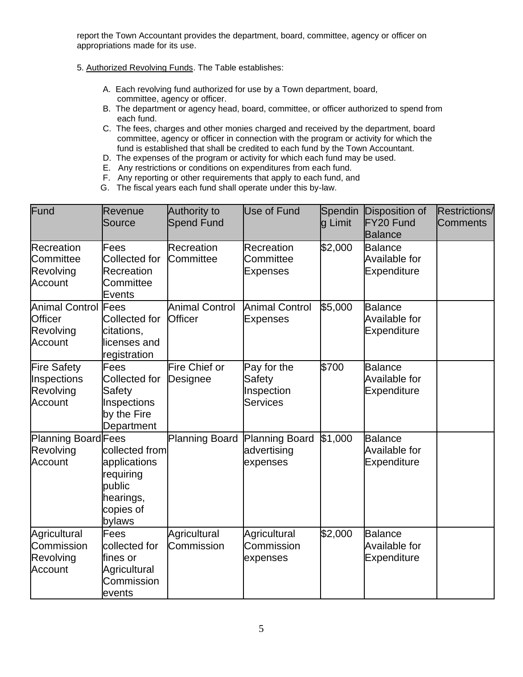report the Town Accountant provides the department, board, committee, agency or officer on appropriations made for its use.

5. Authorized Revolving Funds. The Table establishes:

- A. Each revolving fund authorized for use by a Town department, board, committee, agency or officer.
- B. The department or agency head, board, committee, or officer authorized to spend from each fund.
- C. The fees, charges and other monies charged and received by the department, board committee, agency or officer in connection with the program or activity for which the fund is established that shall be credited to each fund by the Town Accountant.
- D. The expenses of the program or activity for which each fund may be used.
- E. Any restrictions or conditions on expenditures from each fund.
- F. Any reporting or other requirements that apply to each fund, and
- G. The fiscal years each fund shall operate under this by-law.

| Fund                                                                 | Revenue<br>Source                                                                         | <b>Authority to</b><br><b>Spend Fund</b> | Use of Fund                                            | Spendin<br>g Limit | Disposition of<br>FY20 Fund<br><b>Balance</b>                | <b>Restrictions/</b><br><b>Comments</b> |
|----------------------------------------------------------------------|-------------------------------------------------------------------------------------------|------------------------------------------|--------------------------------------------------------|--------------------|--------------------------------------------------------------|-----------------------------------------|
| Recreation<br>Committee<br>Revolving<br>Account                      | Fees<br><b>Collected for</b><br><b>Recreation</b><br>Committee<br><b>Events</b>           | Recreation<br>Committee                  | Recreation<br>Committee<br><b>Expenses</b>             | \$2,000            | <b>Balance</b><br><b>Available for</b><br><b>Expenditure</b> |                                         |
| <b>Animal Control Fees</b><br><b>Officer</b><br>Revolving<br>Account | Collected for<br>citations,<br>licenses and<br>registration                               | <b>Animal Control</b><br><b>Officer</b>  | <b>Animal Control</b><br><b>Expenses</b>               | \$5,000            | <b>Balance</b><br>Available for<br>Expenditure               |                                         |
| <b>Fire Safety</b><br>Inspections<br>Revolving<br>Account            | Fees<br>Collected for<br><b>Safety</b><br>Inspections<br>by the Fire<br>Department        | Fire Chief or<br>Designee                | Pay for the<br>Safety<br>Inspection<br><b>Services</b> | \$700              | <b>Balance</b><br>Available for<br><b>Expenditure</b>        |                                         |
| Planning Board Fees<br>Revolving<br>Account                          | collected from<br>applications<br>requiring<br>public<br>hearings,<br>copies of<br>bylaws | <b>Planning Board</b>                    | <b>Planning Board</b><br>advertising<br>expenses       | \$1,000            | <b>Balance</b><br><b>Available for</b><br><b>Expenditure</b> |                                         |
| Agricultural<br>Commission<br>Revolving<br>Account                   | Fees<br>collected for<br>fines or<br>Agricultural<br>Commission<br>events                 | Agricultural<br>Commission               | Agricultural<br>Commission<br>expenses                 | \$2,000            | <b>Balance</b><br><b>Available for</b><br>Expenditure        |                                         |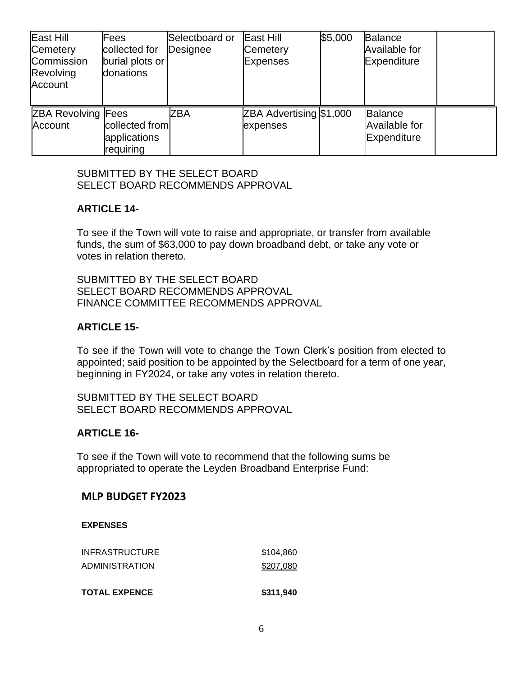| East Hill<br>Cemetery<br>Commission<br>Revolving<br>Account | Fees<br>collected for<br>burial plots or<br>donations | Selectboard or<br>Designee | East Hill<br>Cemetery<br><b>Expenses</b> | \$5,000 | <b>Balance</b><br>Available for<br>Expenditure        |  |
|-------------------------------------------------------------|-------------------------------------------------------|----------------------------|------------------------------------------|---------|-------------------------------------------------------|--|
| <b>ZBA Revolving Fees</b><br>Account                        | collected from<br>applications<br>requiring           | ZBA                        | ZBA Advertising \$1,000<br>expenses      |         | <b>Balance</b><br><b>Available for</b><br>Expenditure |  |

SUBMITTED BY THE SELECT BOARD SELECT BOARD RECOMMENDS APPROVAL

# **ARTICLE 14-**

To see if the Town will vote to raise and appropriate, or transfer from available funds, the sum of \$63,000 to pay down broadband debt, or take any vote or votes in relation thereto.

SUBMITTED BY THE SELECT BOARD SELECT BOARD RECOMMENDS APPROVAL FINANCE COMMITTEE RECOMMENDS APPROVAL

### **ARTICLE 15-**

To see if the Town will vote to change the Town Clerk's position from elected to appointed; said position to be appointed by the Selectboard for a term of one year, beginning in FY2024, or take any votes in relation thereto.

SUBMITTED BY THE SELECT BOARD SELECT BOARD RECOMMENDS APPROVAL

### **ARTICLE 16-**

To see if the Town will vote to recommend that the following sums be appropriated to operate the Leyden Broadband Enterprise Fund:

### **MLP BUDGET FY2023**

#### **EXPENSES**

| <b>TOTAL EXPENCE</b>  | \$311,940 |
|-----------------------|-----------|
| ADMINISTRATION        | \$207,080 |
| <b>INFRASTRUCTURE</b> | \$104.860 |